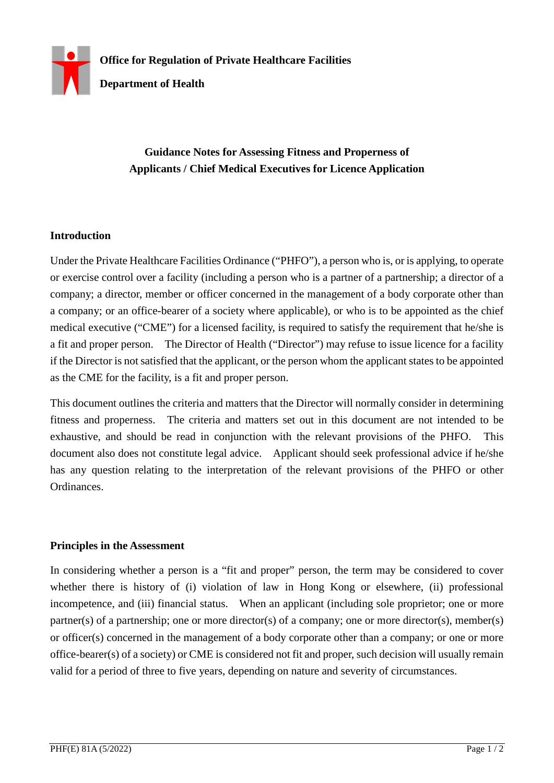

## **Guidance Notes for Assessing Fitness and Properness of Applicants / Chief Medical Executives for Licence Application**

## **Introduction**

Under the Private Healthcare Facilities Ordinance ("PHFO"), a person who is, or is applying, to operate or exercise control over a facility (including a person who is a partner of a partnership; a director of a company; a director, member or officer concerned in the management of a body corporate other than a company; or an office-bearer of a society where applicable), or who is to be appointed as the chief medical executive ("CME") for a licensed facility, is required to satisfy the requirement that he/she is a fit and proper person. The Director of Health ("Director") may refuse to issue licence for a facility if the Director is not satisfied that the applicant, or the person whom the applicant states to be appointed as the CME for the facility, is a fit and proper person.

This document outlines the criteria and matters that the Director will normally consider in determining fitness and properness. The criteria and matters set out in this document are not intended to be exhaustive, and should be read in conjunction with the relevant provisions of the PHFO. This document also does not constitute legal advice. Applicant should seek professional advice if he/she has any question relating to the interpretation of the relevant provisions of the PHFO or other Ordinances.

## **Principles in the Assessment**

In considering whether a person is a "fit and proper" person, the term may be considered to cover whether there is history of (i) violation of law in Hong Kong or elsewhere, (ii) professional incompetence, and (iii) financial status. When an applicant (including sole proprietor; one or more partner(s) of a partnership; one or more director(s) of a company; one or more director(s), member(s) or officer(s) concerned in the management of a body corporate other than a company; or one or more office-bearer(s) of a society) or CME is considered not fit and proper, such decision will usually remain valid for a period of three to five years, depending on nature and severity of circumstances.